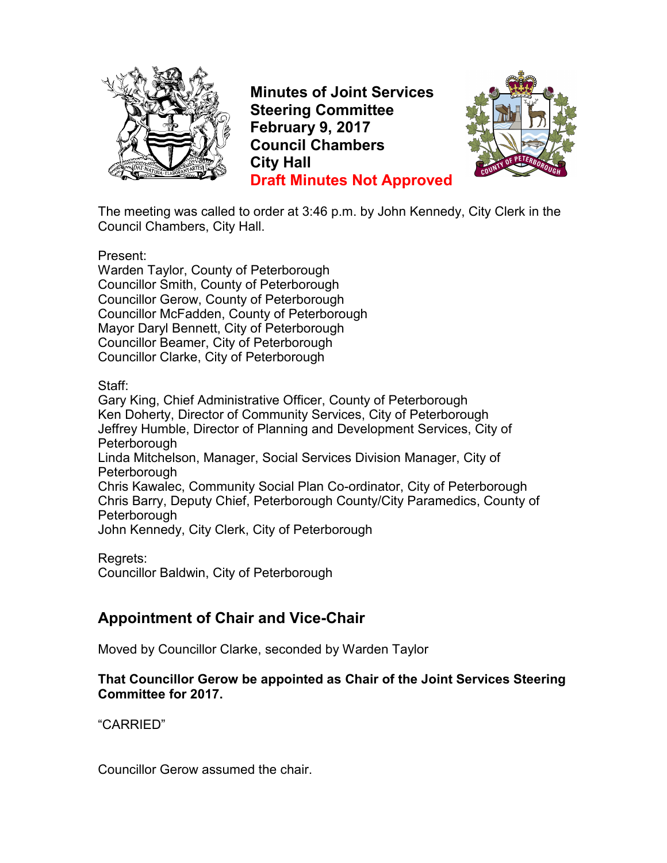

**Minutes of Joint Services Steering Committee February 9, 2017 Council Chambers City Hall Draft Minutes Not Approved**



The meeting was called to order at 3:46 p.m. by John Kennedy, City Clerk in the Council Chambers, City Hall.

Present:

Warden Taylor, County of Peterborough Councillor Smith, County of Peterborough Councillor Gerow, County of Peterborough Councillor McFadden, County of Peterborough Mayor Daryl Bennett, City of Peterborough Councillor Beamer, City of Peterborough Councillor Clarke, City of Peterborough

#### Staff:

Gary King, Chief Administrative Officer, County of Peterborough Ken Doherty, Director of Community Services, City of Peterborough Jeffrey Humble, Director of Planning and Development Services, City of **Peterborough** Linda Mitchelson, Manager, Social Services Division Manager, City of **Peterborough** Chris Kawalec, Community Social Plan Co-ordinator, City of Peterborough Chris Barry, Deputy Chief, Peterborough County/City Paramedics, County of **Peterborough** John Kennedy, City Clerk, City of Peterborough

Regrets: Councillor Baldwin, City of Peterborough

# **Appointment of Chair and Vice-Chair**

Moved by Councillor Clarke, seconded by Warden Taylor

#### **That Councillor Gerow be appointed as Chair of the Joint Services Steering Committee for 2017.**

"CARRIED"

Councillor Gerow assumed the chair.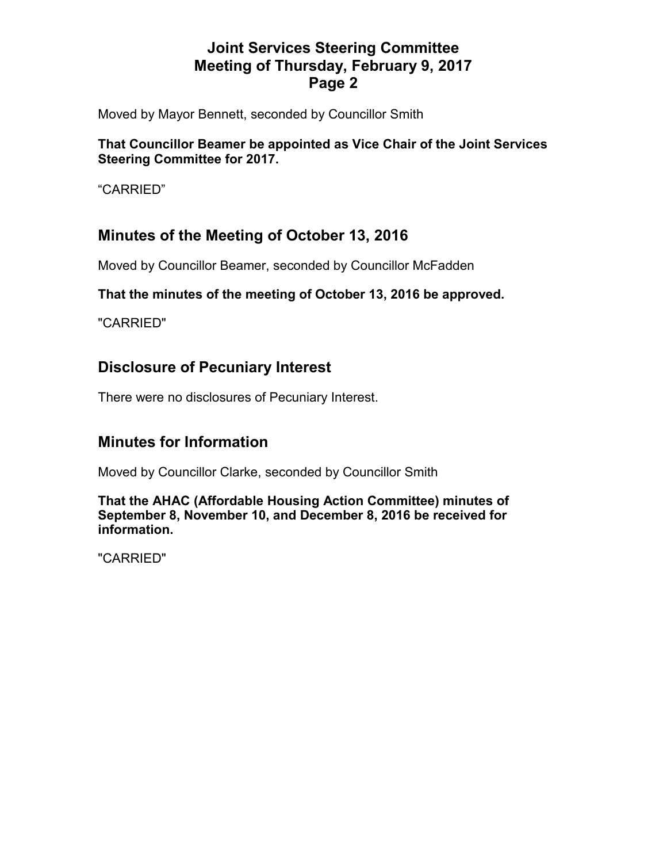Moved by Mayor Bennett, seconded by Councillor Smith

#### **That Councillor Beamer be appointed as Vice Chair of the Joint Services Steering Committee for 2017.**

"CARRIED"

## **Minutes of the Meeting of October 13, 2016**

Moved by Councillor Beamer, seconded by Councillor McFadden

#### **That the minutes of the meeting of October 13, 2016 be approved.**

"CARRIED"

### **Disclosure of Pecuniary Interest**

There were no disclosures of Pecuniary Interest.

## **Minutes for Information**

Moved by Councillor Clarke, seconded by Councillor Smith

**That the AHAC (Affordable Housing Action Committee) minutes of September 8, November 10, and December 8, 2016 be received for information.** 

"CARRIED"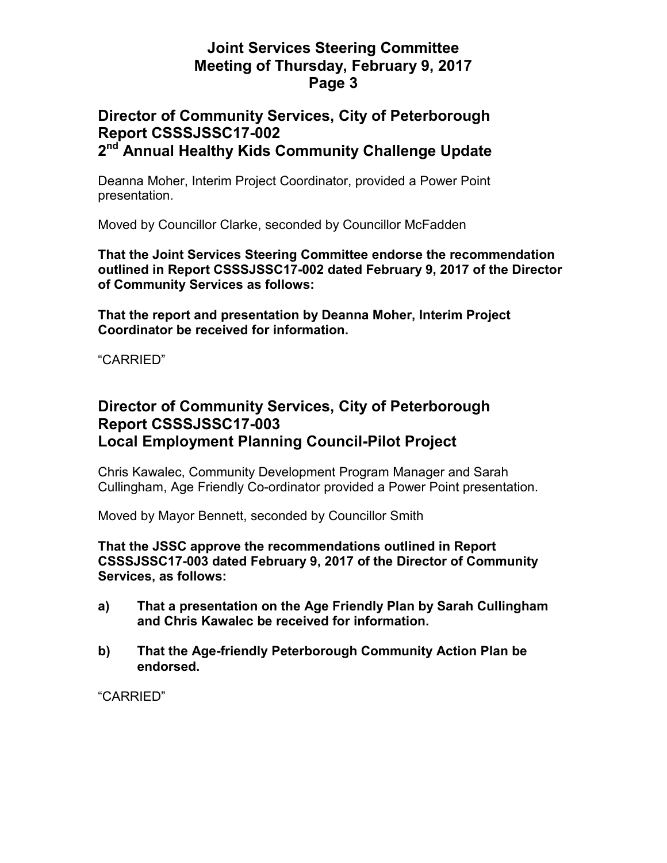## **Director of Community Services, City of Peterborough Report CSSSJSSC17-002 2 nd Annual Healthy Kids Community Challenge Update**

Deanna Moher, Interim Project Coordinator, provided a Power Point presentation.

Moved by Councillor Clarke, seconded by Councillor McFadden

**That the Joint Services Steering Committee endorse the recommendation outlined in Report CSSSJSSC17-002 dated February 9, 2017 of the Director of Community Services as follows:** 

**That the report and presentation by Deanna Moher, Interim Project Coordinator be received for information.** 

"CARRIED"

### **Director of Community Services, City of Peterborough Report CSSSJSSC17-003 Local Employment Planning Council-Pilot Project**

Chris Kawalec, Community Development Program Manager and Sarah Cullingham, Age Friendly Co-ordinator provided a Power Point presentation.

Moved by Mayor Bennett, seconded by Councillor Smith

**That the JSSC approve the recommendations outlined in Report CSSSJSSC17-003 dated February 9, 2017 of the Director of Community Services, as follows:** 

- **a) That a presentation on the Age Friendly Plan by Sarah Cullingham and Chris Kawalec be received for information.**
- **b) That the Age-friendly Peterborough Community Action Plan be endorsed.**

"CARRIED"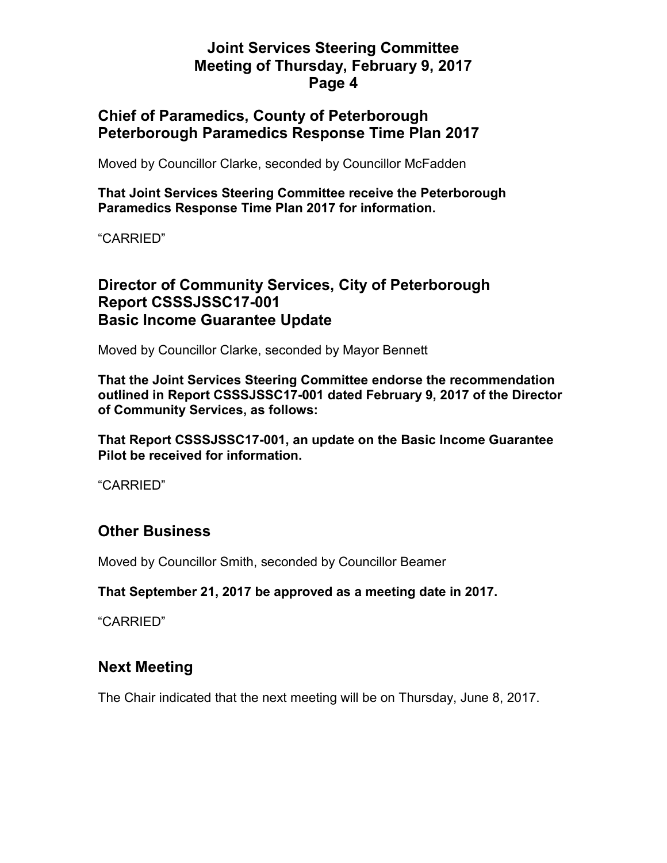#### **Chief of Paramedics, County of Peterborough Peterborough Paramedics Response Time Plan 2017**

Moved by Councillor Clarke, seconded by Councillor McFadden

**That Joint Services Steering Committee receive the Peterborough Paramedics Response Time Plan 2017 for information.**

"CARRIED"

## **Director of Community Services, City of Peterborough Report CSSSJSSC17-001 Basic Income Guarantee Update**

Moved by Councillor Clarke, seconded by Mayor Bennett

**That the Joint Services Steering Committee endorse the recommendation outlined in Report CSSSJSSC17-001 dated February 9, 2017 of the Director of Community Services, as follows:** 

**That Report CSSSJSSC17-001, an update on the Basic Income Guarantee Pilot be received for information.** 

"CARRIED"

## **Other Business**

Moved by Councillor Smith, seconded by Councillor Beamer

#### **That September 21, 2017 be approved as a meeting date in 2017.**

"CARRIED"

#### **Next Meeting**

The Chair indicated that the next meeting will be on Thursday, June 8, 2017.